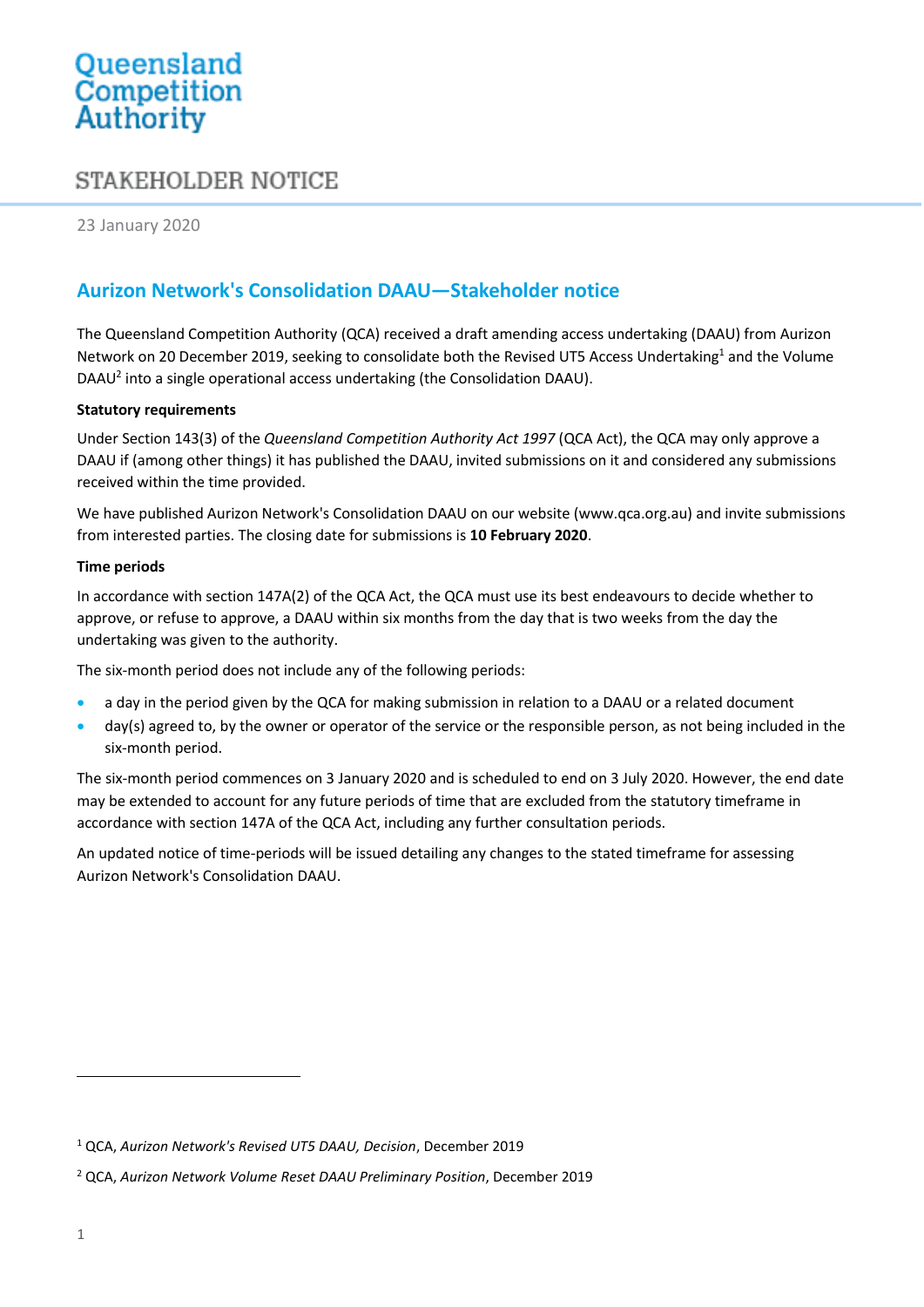# Queensland<br>Competition Authority

# STAKEHOLDER NOTICE

23 January 2020

# **Aurizon Network's Consolidation DAAU—Stakeholder notice**

The Queensland Competition Authority (QCA) received a draft amending access undertaking (DAAU) from Aurizon Network on 20 December 2019, seeking to consolidate both the Revised UT5 Access Undertaking<sup>1</sup> and the Volume DAAU<sup>2</sup> into a single operational access undertaking (the Consolidation DAAU).

#### **Statutory requirements**

Under Section 143(3) of the *Queensland Competition Authority Act 1997* (QCA Act), the QCA may only approve a DAAU if (among other things) it has published the DAAU, invited submissions on it and considered any submissions received within the time provided.

We have published Aurizon Network's Consolidation DAAU on our website (www.qca.org.au) and invite submissions from interested parties. The closing date for submissions is **10 February 2020**.

#### **Time periods**

In accordance with section 147A(2) of the QCA Act, the QCA must use its best endeavours to decide whether to approve, or refuse to approve, a DAAU within six months from the day that is two weeks from the day the undertaking was given to the authority.

The six-month period does not include any of the following periods:

- a day in the period given by the QCA for making submission in relation to a DAAU or a related document
- day(s) agreed to, by the owner or operator of the service or the responsible person, as not being included in the six-month period.

The six-month period commences on 3 January 2020 and is scheduled to end on 3 July 2020. However, the end date may be extended to account for any future periods of time that are excluded from the statutory timeframe in accordance with section 147A of the QCA Act, including any further consultation periods.

An updated notice of time-periods will be issued detailing any changes to the stated timeframe for assessing Aurizon Network's Consolidation DAAU.

 $\overline{a}$ 

<sup>1</sup> QCA, *Aurizon Network's Revised UT5 DAAU, Decision*, December 2019

<sup>2</sup> QCA, *Aurizon Network Volume Reset DAAU Preliminary Position*, December 2019